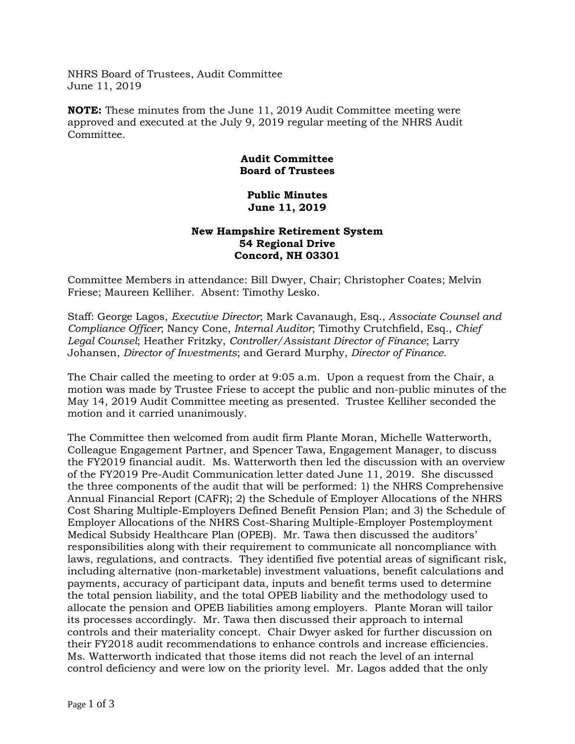NHRS Board of Trustees, Audit Committee June 11, 2019

**NOTE:** These minutes from the June 11, 2019 Audit Committee meeting were approved and executed at the July 9, 2019 regular meeting of the NHRS Audit Committee.

## **Audit Committee Board of Trustees**

## **Public Minutes June 11, 2019**

## **New Hampshire Retirement System 54 Regional Drive Concord, NH 03301**

Committee Members in attendance: Bill Dwyer, Chair; Christopher Coates; Melvin Friese; Maureen Kelliher. Absent: Timothy Lesko.

Staff: George Lagos, *Executive Director*; Mark Cavanaugh, Esq., *Associate Counsel and Compliance Officer*; Nancy Cone, *Internal Auditor*; Timothy Crutchfield, Esq., *Chief Legal Counsel*; Heather Fritzky, *Controller/Assistant Director of Finance*; Larry Johansen, *Director of Investments*; and Gerard Murphy, *Director of Finance.*

The Chair called the meeting to order at 9:05 a.m. Upon a request from the Chair, a motion was made by Trustee Friese to accept the public and non-public minutes of the May 14, 2019 Audit Committee meeting as presented. Trustee Kelliher seconded the motion and it carried unanimously.

The Committee then welcomed from audit firm Plante Moran, Michelle Watterworth, Colleague Engagement Partner, and Spencer Tawa, Engagement Manager, to discuss the FY2019 financial audit. Ms. Watterworth then led the discussion with an overview of the FY2019 Pre-Audit Communication letter dated June 11, 2019. She discussed the three components of the audit that will be performed: 1) the NHRS Comprehensive Annual Financial Report (CAFR); 2) the Schedule of Employer Allocations of the NHRS Cost Sharing Multiple-Employers Defined Benefit Pension Plan; and 3) the Schedule of Employer Allocations of the NHRS Cost-Sharing Multiple-Employer Postemployment Medical Subsidy Healthcare Plan (OPEB). Mr. Tawa then discussed the auditors' responsibilities along with their requirement to communicate all noncompliance with laws, regulations, and contracts. They identified five potential areas of significant risk, including alternative (non-marketable) investment valuations, benefit calculations and payments, accuracy of participant data, inputs and benefit terms used to determine the total pension liability, and the total OPEB liability and the methodology used to allocate the pension and OPEB liabilities among employers. Plante Moran will tailor its processes accordingly. Mr. Tawa then discussed their approach to internal controls and their materiality concept. Chair Dwyer asked for further discussion on their FY2018 audit recommendations to enhance controls and increase efficiencies. Ms. Watterworth indicated that those items did not reach the level of an internal control deficiency and were low on the priority level. Mr. Lagos added that the only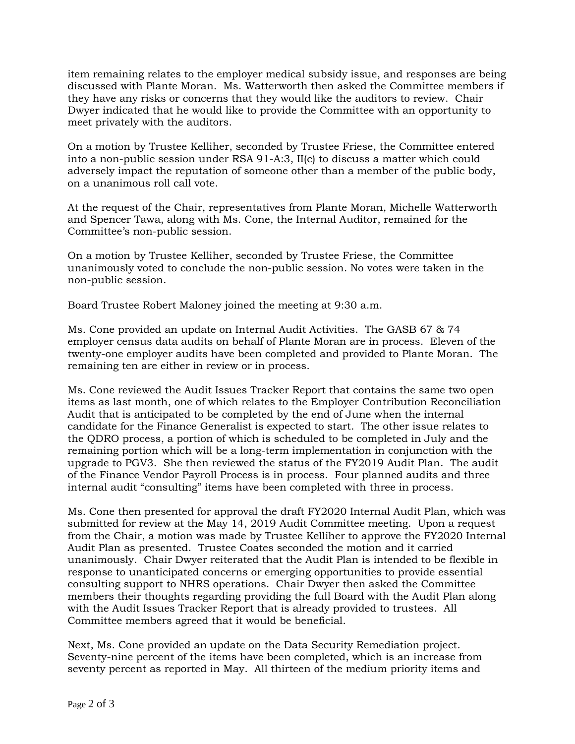item remaining relates to the employer medical subsidy issue, and responses are being discussed with Plante Moran. Ms. Watterworth then asked the Committee members if they have any risks or concerns that they would like the auditors to review. Chair Dwyer indicated that he would like to provide the Committee with an opportunity to meet privately with the auditors.

On a motion by Trustee Kelliher, seconded by Trustee Friese, the Committee entered into a non-public session under RSA 91-A:3, II(c) to discuss a matter which could adversely impact the reputation of someone other than a member of the public body, on a unanimous roll call vote.

At the request of the Chair, representatives from Plante Moran, Michelle Watterworth and Spencer Tawa, along with Ms. Cone, the Internal Auditor, remained for the Committee's non-public session.

On a motion by Trustee Kelliher, seconded by Trustee Friese, the Committee unanimously voted to conclude the non-public session. No votes were taken in the non-public session.

Board Trustee Robert Maloney joined the meeting at 9:30 a.m.

Ms. Cone provided an update on Internal Audit Activities. The GASB 67 & 74 employer census data audits on behalf of Plante Moran are in process. Eleven of the twenty-one employer audits have been completed and provided to Plante Moran. The remaining ten are either in review or in process.

Ms. Cone reviewed the Audit Issues Tracker Report that contains the same two open items as last month, one of which relates to the Employer Contribution Reconciliation Audit that is anticipated to be completed by the end of June when the internal candidate for the Finance Generalist is expected to start. The other issue relates to the QDRO process, a portion of which is scheduled to be completed in July and the remaining portion which will be a long-term implementation in conjunction with the upgrade to PGV3. She then reviewed the status of the FY2019 Audit Plan. The audit of the Finance Vendor Payroll Process is in process. Four planned audits and three internal audit "consulting" items have been completed with three in process.

Ms. Cone then presented for approval the draft FY2020 Internal Audit Plan, which was submitted for review at the May 14, 2019 Audit Committee meeting. Upon a request from the Chair, a motion was made by Trustee Kelliher to approve the FY2020 Internal Audit Plan as presented. Trustee Coates seconded the motion and it carried unanimously. Chair Dwyer reiterated that the Audit Plan is intended to be flexible in response to unanticipated concerns or emerging opportunities to provide essential consulting support to NHRS operations. Chair Dwyer then asked the Committee members their thoughts regarding providing the full Board with the Audit Plan along with the Audit Issues Tracker Report that is already provided to trustees. All Committee members agreed that it would be beneficial.

Next, Ms. Cone provided an update on the Data Security Remediation project. Seventy-nine percent of the items have been completed, which is an increase from seventy percent as reported in May. All thirteen of the medium priority items and